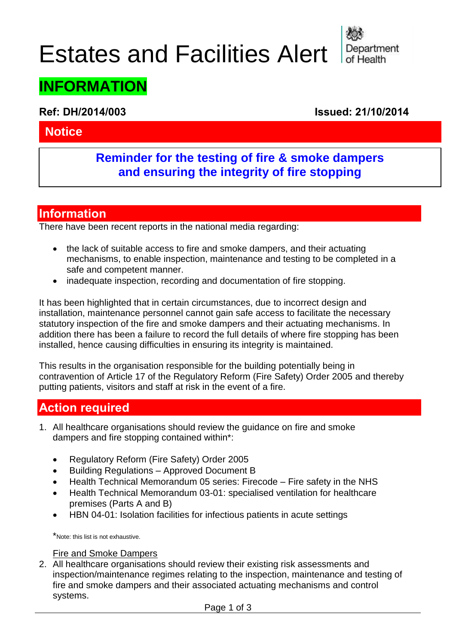# Estates and Facilities Alert



## **INFORMATION**

**Ref: DH/2014/003 Issued: 21/10/2014** 

#### **Notice**

#### **Reminder for the testing of fire & smoke dampers and ensuring the integrity of fire stopping**

#### **Information**

There have been recent reports in the national media regarding:

- the lack of suitable access to fire and smoke dampers, and their actuating mechanisms, to enable inspection, maintenance and testing to be completed in a safe and competent manner.
- inadequate inspection, recording and documentation of fire stopping.

It has been highlighted that in certain circumstances, due to incorrect design and installation, maintenance personnel cannot gain safe access to facilitate the necessary statutory inspection of the fire and smoke dampers and their actuating mechanisms. In addition there has been a failure to record the full details of where fire stopping has been installed, hence causing difficulties in ensuring its integrity is maintained.

This results in the organisation responsible for the building potentially being in contravention of Article 17 of the Regulatory Reform (Fire Safety) Order 2005 and thereby putting patients, visitors and staff at risk in the event of a fire.

#### **Action required**

- 1. All healthcare organisations should review the guidance on fire and smoke dampers and fire stopping contained within\*:
	- Regulatory Reform (Fire Safety) Order 2005
	- Building Regulations Approved Document B
	- Health Technical Memorandum 05 series: Firecode Fire safety in the NHS
	- Health Technical Memorandum 03-01: specialised ventilation for healthcare premises (Parts A and B)
	- HBN 04-01: Isolation facilities for infectious patients in acute settings

\*Note: this list is not exhaustive.

#### Fire and Smoke Dampers

2. All healthcare organisations should review their existing risk assessments and inspection/maintenance regimes relating to the inspection, maintenance and testing of fire and smoke dampers and their associated actuating mechanisms and control systems.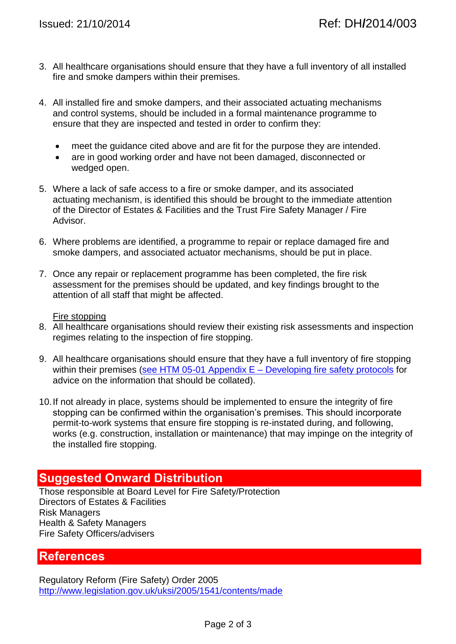- 3. All healthcare organisations should ensure that they have a full inventory of all installed fire and smoke dampers within their premises.
- 4. All installed fire and smoke dampers, and their associated actuating mechanisms and control systems, should be included in a formal maintenance programme to ensure that they are inspected and tested in order to confirm they:
	- meet the guidance cited above and are fit for the purpose they are intended.
	- are in good working order and have not been damaged, disconnected or wedged open.
- 5. Where a lack of safe access to a fire or smoke damper, and its associated actuating mechanism, is identified this should be brought to the immediate attention of the Director of Estates & Facilities and the Trust Fire Safety Manager / Fire Advisor.
- 6. Where problems are identified, a programme to repair or replace damaged fire and smoke dampers, and associated actuator mechanisms, should be put in place.
- 7. Once any repair or replacement programme has been completed, the fire risk assessment for the premises should be updated, and key findings brought to the attention of all staff that might be affected.

#### Fire stopping

- 8. All healthcare organisations should review their existing risk assessments and inspection regimes relating to the inspection of fire stopping.
- 9. All healthcare organisations should ensure that they have a full inventory of fire stopping within their premises (see HTM 05-01 Appendix  $E -$  Developing fire safety protocols for advice on the information that should be collated).
- 10.If not already in place, systems should be implemented to ensure the integrity of fire stopping can be confirmed within the organisation's premises. This should incorporate permit-to-work systems that ensure fire stopping is re-instated during, and following, works (e.g. construction, installation or maintenance) that may impinge on the integrity of the installed fire stopping.

#### **Suggested Onward Distribution**

Those responsible at Board Level for Fire Safety/Protection Directors of Estates & Facilities Risk Managers Health & Safety Managers Fire Safety Officers/advisers

#### **References**

Regulatory Reform (Fire Safety) Order 2005 <http://www.legislation.gov.uk/uksi/2005/1541/contents/made>